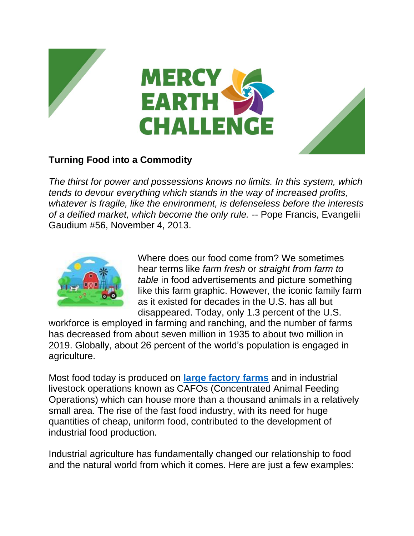

## **Turning Food into a Commodity**

*The thirst for power and possessions knows no limits. In this system, which tends to devour everything which stands in the way of increased profits, whatever is fragile, like the environment, is defenseless before the interests of a deified market, which become the only rule.* -- Pope Francis, Evangelii Gaudium #56, November 4, 2013.



Where does our food come from? We sometimes hear terms like *farm fresh* or *straight from farm to table* in food advertisements and picture something like this farm graphic. However, the iconic family farm as it existed for decades in the U.S. has all but disappeared. Today, only 1.3 percent of the U.S.

workforce is employed in farming and ranching, and the number of farms has decreased from about seven million in 1935 to about two million in 2019. Globally, about 26 percent of the world's population is engaged in agriculture.

Most food today is produced on **[large factory farms](https://www.nrdc.org/stories/industrial-agriculture-101)** and in industrial livestock operations known as CAFOs (Concentrated Animal Feeding Operations) which can house more than a thousand animals in a relatively small area. The rise of the fast food industry, with its need for huge quantities of cheap, uniform food, contributed to the development of industrial food production.

Industrial agriculture has fundamentally changed our relationship to food and the natural world from which it comes. Here are just a few examples: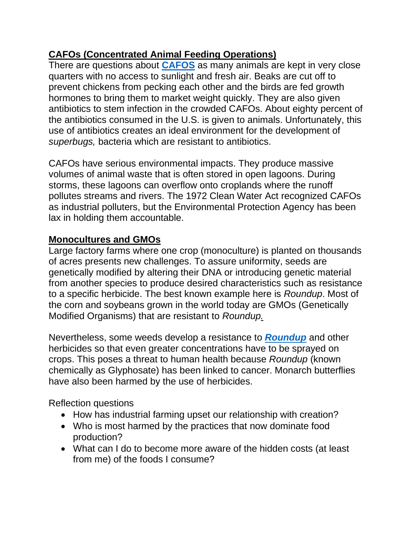## **CAFOs (Concentrated Animal Feeding Operations)**

There are questions about **[CAFOS](https://www.sierraclub.org/michigan/why-are-cafos-bad)** as many animals are kept in very close quarters with no access to sunlight and fresh air. Beaks are cut off to prevent chickens from pecking each other and the birds are fed growth hormones to bring them to market weight quickly. They are also given antibiotics to stem infection in the crowded CAFOs. About eighty percent of the antibiotics consumed in the U.S. is given to animals. Unfortunately, this use of antibiotics creates an ideal environment for the development of *superbugs,* bacteria which are resistant to antibiotics.

CAFOs have serious environmental impacts. They produce massive volumes of animal waste that is often stored in open lagoons. During storms, these lagoons can overflow onto croplands where the runoff pollutes streams and rivers. The 1972 Clean Water Act recognized CAFOs as industrial polluters, but the Environmental Protection Agency has been lax in holding them accountable.

## **Monocultures and GMOs**

Large factory farms where one crop (monoculture) is planted on thousands of acres presents new challenges. To assure uniformity, seeds are genetically modified by altering their DNA or introducing genetic material from another species to produce desired characteristics such as resistance to a specific herbicide. The best known example here is *Roundup*. Most of the corn and soybeans grown in the world today are GMOs (Genetically Modified Organisms) that are resistant to *Roundup.*

Nevertheless, some weeds develop a resistance to *[Roundup](https://www.cancerhealth.com/article/bayer-pay-10-billion-settle-roundup-cancer-lawsuits)* and other herbicides so that even greater concentrations have to be sprayed on crops. This poses a threat to human health because *Roundup* (known chemically as Glyphosate) has been linked to cancer. Monarch butterflies have also been harmed by the use of herbicides.

Reflection questions

- How has industrial farming upset our relationship with creation?
- Who is most harmed by the practices that now dominate food production?
- What can I do to become more aware of the hidden costs (at least from me) of the foods I consume?